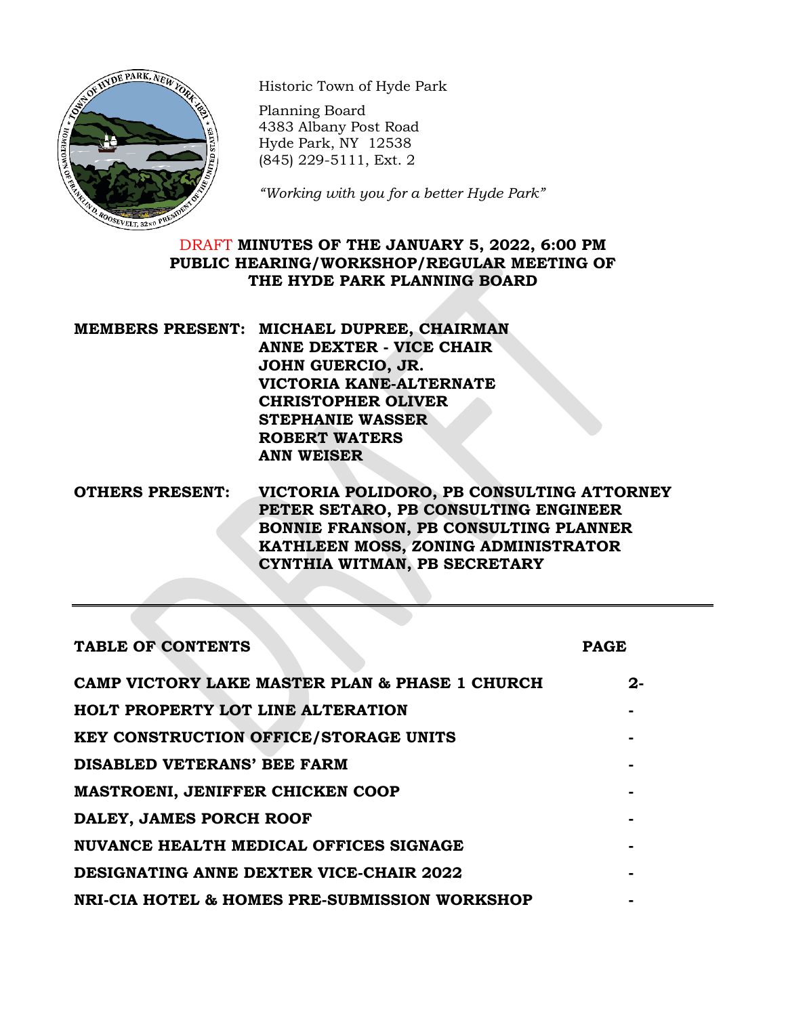

Historic Town of Hyde Park

Planning Board 4383 Albany Post Road Hyde Park, NY 12538 (845) 229-5111, Ext. 2

*"Working with you for a better Hyde Park"*

# DRAFT **MINUTES OF THE JANUARY 5, 2022, 6:00 PM PUBLIC HEARING/WORKSHOP/REGULAR MEETING OF THE HYDE PARK PLANNING BOARD**

| MEMBERS PRESENT: MICHAEL DUPREE, CHAIRMAN |
|-------------------------------------------|
| <b>ANNE DEXTER - VICE CHAIR</b>           |
| JOHN GUERCIO, JR.                         |
| VICTORIA KANE-ALTERNATE                   |
| <b>CHRISTOPHER OLIVER</b>                 |
| <b>STEPHANIE WASSER</b>                   |
| <b>ROBERT WATERS</b>                      |
| <b>ANN WEISER</b>                         |
|                                           |

**OTHERS PRESENT: VICTORIA POLIDORO, PB CONSULTING ATTORNEY PETER SETARO, PB CONSULTING ENGINEER BONNIE FRANSON, PB CONSULTING PLANNER KATHLEEN MOSS, ZONING ADMINISTRATOR CYNTHIA WITMAN, PB SECRETARY**

| <b>TABLE OF CONTENTS</b>                       | <b>PAGE</b> |
|------------------------------------------------|-------------|
| CAMP VICTORY LAKE MASTER PLAN & PHASE 1 CHURCH | $2 -$       |
| <b>HOLT PROPERTY LOT LINE ALTERATION</b>       |             |
| <b>KEY CONSTRUCTION OFFICE/STORAGE UNITS</b>   |             |
| <b>DISABLED VETERANS' BEE FARM</b>             |             |
| <b>MASTROENI, JENIFFER CHICKEN COOP</b>        |             |
| DALEY, JAMES PORCH ROOF                        |             |
| <b>NUVANCE HEALTH MEDICAL OFFICES SIGNAGE</b>  |             |
| <b>DESIGNATING ANNE DEXTER VICE-CHAIR 2022</b> |             |
| NRI-CIA HOTEL & HOMES PRE-SUBMISSION WORKSHOP  |             |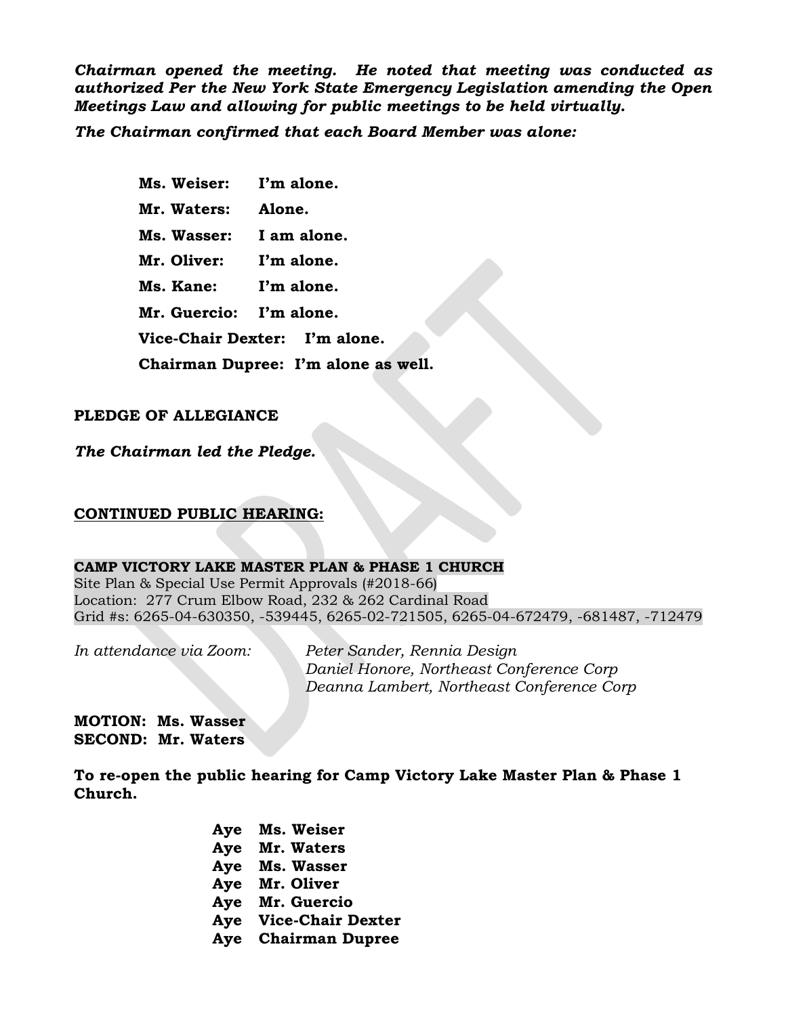*Chairman opened the meeting. He noted that meeting was conducted as authorized Per the New York State Emergency Legislation amending the Open Meetings Law and allowing for public meetings to be held virtually.* 

*The Chairman confirmed that each Board Member was alone:*

**Ms. Weiser: I'm alone. Mr. Waters: Alone. Ms. Wasser: I am alone. Mr. Oliver: I'm alone. Ms. Kane: I'm alone. Mr. Guercio: I'm alone. Vice-Chair Dexter: I'm alone. Chairman Dupree: I'm alone as well.**

## **PLEDGE OF ALLEGIANCE**

*The Chairman led the Pledge.*

## **CONTINUED PUBLIC HEARING:**

### **CAMP VICTORY LAKE MASTER PLAN & PHASE 1 CHURCH**

Site Plan & Special Use Permit Approvals (#2018-66) Location: 277 Crum Elbow Road, 232 & 262 Cardinal Road Grid #s: 6265-04-630350, -539445, 6265-02-721505, 6265-04-672479, -681487, -712479

*In attendance via Zoom: Peter Sander, Rennia Design Daniel Honore, Northeast Conference Corp Deanna Lambert, Northeast Conference Corp*

**MOTION: Ms. Wasser SECOND: Mr. Waters**

**To re-open the public hearing for Camp Victory Lake Master Plan & Phase 1 Church.**

> **Aye Ms. Weiser Aye Mr. Waters Aye Ms. Wasser Aye Mr. Oliver Aye Mr. Guercio Aye Vice-Chair Dexter Aye Chairman Dupree**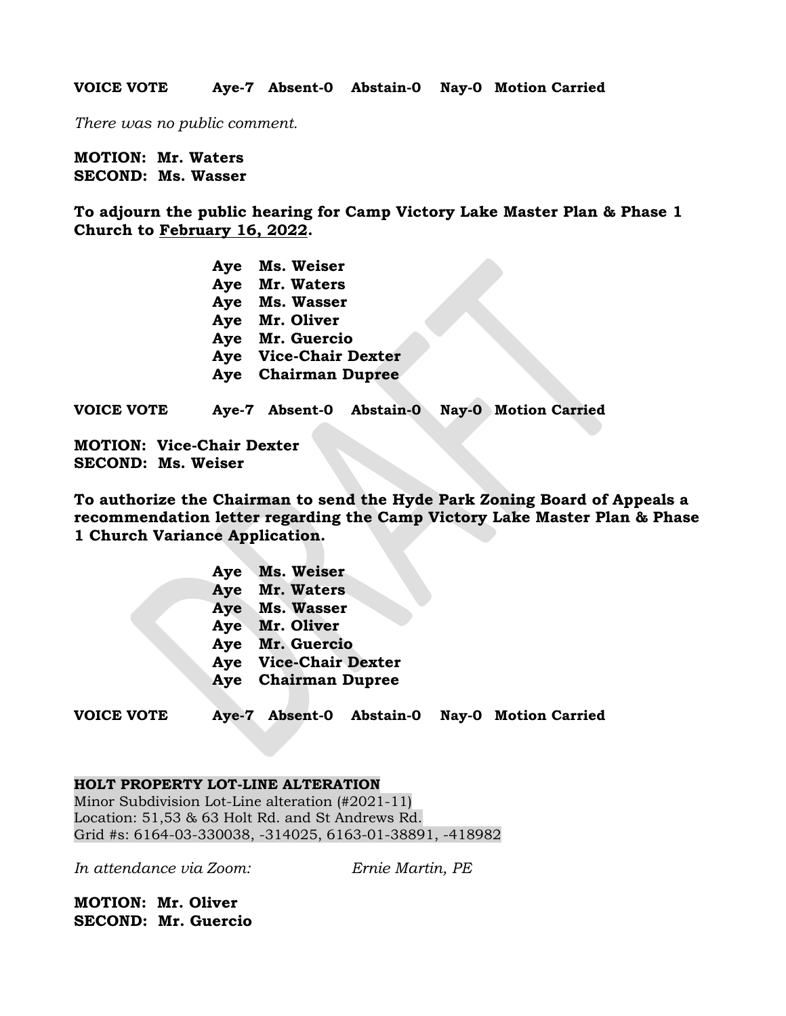**VOICE VOTE Aye-7 Absent-0 Abstain-0 Nay-0 Motion Carried**

*There was no public comment.*

**MOTION: Mr. Waters SECOND: Ms. Wasser**

**To adjourn the public hearing for Camp Victory Lake Master Plan & Phase 1 Church to February 16, 2022.**

| Aye | Ms. Weiser               |
|-----|--------------------------|
| Aye | Mr. Waters               |
| Aye | Ms. Wasser               |
| Aye | Mr. Oliver               |
| Aye | Mr. Guercio              |
| Aye | <b>Vice-Chair Dexter</b> |
| Aye | <b>Chairman Dupree</b>   |
|     |                          |

**VOICE VOTE Aye-7 Absent-0 Abstain-0 Nay-0 Motion Carried**

**MOTION: Vice-Chair Dexter SECOND: Ms. Weiser**

**To authorize the Chairman to send the Hyde Park Zoning Board of Appeals a recommendation letter regarding the Camp Victory Lake Master Plan & Phase 1 Church Variance Application.**

| Aye | Ms. Weiser               |
|-----|--------------------------|
| Aye | Mr. Waters               |
| Aye | Ms. Wasser               |
| Aye | Mr. Oliver               |
| Aye | Mr. Guercio              |
| Aye | <b>Vice-Chair Dexter</b> |
| Aye | <b>Chairman Dupree</b>   |
|     |                          |

**VOICE VOTE Aye-7 Absent-0 Abstain-0 Nay-0 Motion Carried**

### **HOLT PROPERTY LOT-LINE ALTERATION**

Minor Subdivision Lot-Line alteration (#2021-11) Location: 51,53 & 63 Holt Rd. and St Andrews Rd. Grid #s: 6164-03-330038, -314025, 6163-01-38891, -418982

*In attendance via Zoom: Ernie Martin, PE*

**MOTION: Mr. Oliver SECOND: Mr. Guercio**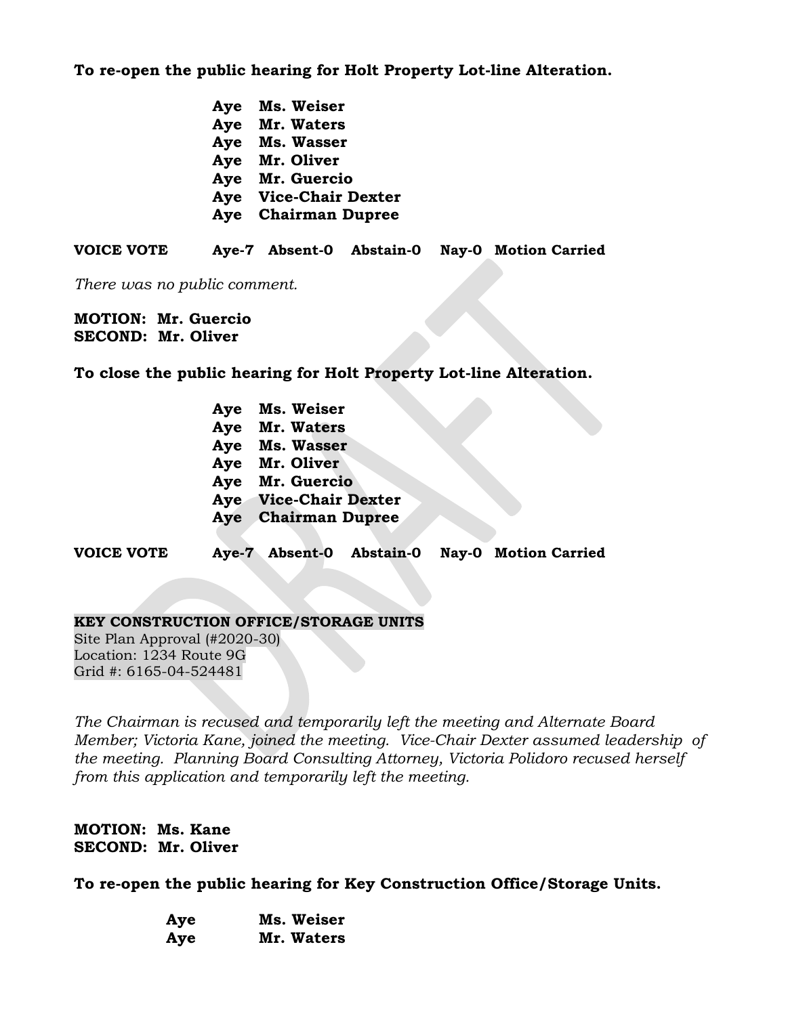**To re-open the public hearing for Holt Property Lot-line Alteration.**

| Aye | Ms. Weiser               |
|-----|--------------------------|
| Aye | Mr. Waters               |
| Aye | Ms. Wasser               |
| Aye | Mr. Oliver               |
| Aye | Mr. Guercio              |
| Aye | <b>Vice-Chair Dexter</b> |
| Aye | <b>Chairman Dupree</b>   |
|     |                          |

**VOICE VOTE Aye-7 Absent-0 Abstain-0 Nay-0 Motion Carried**

*There was no public comment.*

**MOTION: Mr. Guercio SECOND: Mr. Oliver**

**To close the public hearing for Holt Property Lot-line Alteration.**

- **Aye Ms. Weiser Aye Mr. Waters Aye Ms. Wasser Aye Mr. Oliver Aye Mr. Guercio Aye Vice-Chair Dexter Aye Chairman Dupree**
- **VOICE VOTE Aye-7 Absent-0 Abstain-0 Nay-0 Motion Carried**

### **KEY CONSTRUCTION OFFICE/STORAGE UNITS**

Site Plan Approval (#2020-30) Location: 1234 Route 9G Grid #: 6165-04-524481

*The Chairman is recused and temporarily left the meeting and Alternate Board Member; Victoria Kane, joined the meeting. Vice-Chair Dexter assumed leadership of the meeting. Planning Board Consulting Attorney, Victoria Polidoro recused herself from this application and temporarily left the meeting.*

# **MOTION: Ms. Kane SECOND: Mr. Oliver**

**To re-open the public hearing for Key Construction Office/Storage Units.**

| Aye | Ms. Weiser |
|-----|------------|
| Aye | Mr. Waters |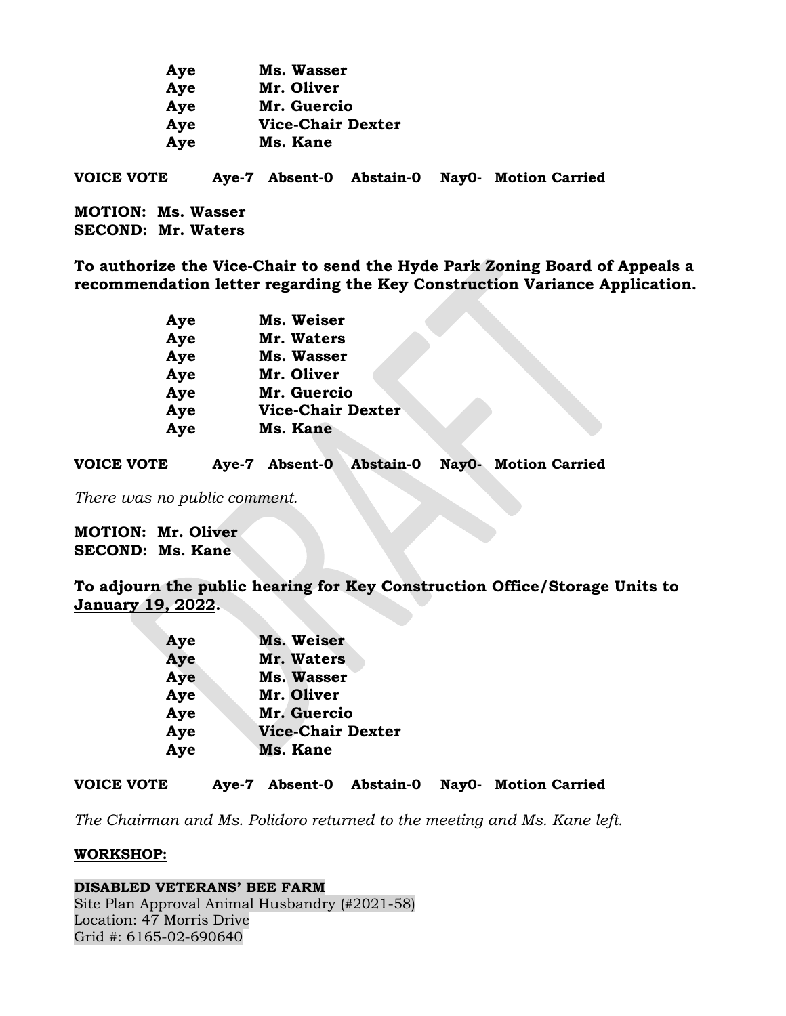| Aye                       | Ms. Wasser               |                          |                             |
|---------------------------|--------------------------|--------------------------|-----------------------------|
| Aye                       | Mr. Oliver               |                          |                             |
| Aye                       | Mr. Guercio              |                          |                             |
| Aye                       | <b>Vice-Chair Dexter</b> |                          |                             |
| Aye                       | Ms. Kane                 |                          |                             |
| <b>VOICE VOTE</b>         |                          | Aye-7 Absent-0 Abstain-0 | <b>NayO-</b> Motion Carried |
| <b>MOTION: Ms. Wasser</b> |                          |                          |                             |
| <b>SECOND: Mr. Waters</b> |                          |                          |                             |

**To authorize the Vice-Chair to send the Hyde Park Zoning Board of Appeals a recommendation letter regarding the Key Construction Variance Application.**

| Aye | Ms. Weiser               |
|-----|--------------------------|
| Aye | Mr. Waters               |
| Aye | <b>Ms. Wasser</b>        |
| Aye | Mr. Oliver               |
| Aye | Mr. Guercio              |
| Aye | <b>Vice-Chair Dexter</b> |
| Aye | Ms. Kane                 |
|     |                          |

**VOICE VOTE Aye-7 Absent-0 Abstain-0 Nay0- Motion Carried**

*There was no public comment.*

**MOTION: Mr. Oliver SECOND: Ms. Kane**

**To adjourn the public hearing for Key Construction Office/Storage Units to January 19, 2022.**

| Aye | <b>Ms. Weiser</b>        |
|-----|--------------------------|
| Aye | Mr. Waters               |
| Aye | <b>Ms. Wasser</b>        |
| Aye | Mr. Oliver               |
| Aye | Mr. Guercio              |
| Aye | <b>Vice-Chair Dexter</b> |
| Aye | Ms. Kane                 |

**VOICE VOTE Aye-7 Absent-0 Abstain-0 Nay0- Motion Carried**

*The Chairman and Ms. Polidoro returned to the meeting and Ms. Kane left.*

#### **WORKSHOP:**

**DISABLED VETERANS' BEE FARM** Site Plan Approval Animal Husbandry (#2021-58) Location: 47 Morris Drive Grid #: 6165-02-690640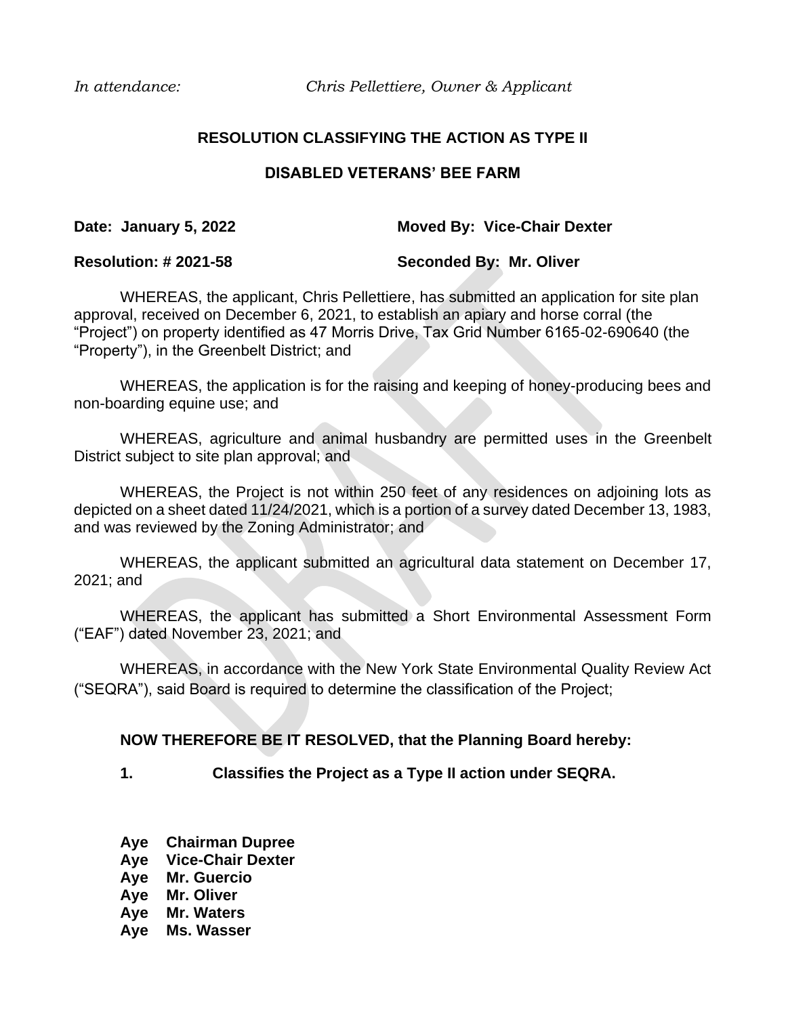*In attendance: Chris Pellettiere, Owner & Applicant*

# **RESOLUTION CLASSIFYING THE ACTION AS TYPE II**

## **DISABLED VETERANS' BEE FARM**

## **Date: January 5, 2022 Moved By: Vice-Chair Dexter**

## **Resolution: # 2021-58 Seconded By: Mr. Oliver**

WHEREAS, the applicant, Chris Pellettiere, has submitted an application for site plan approval, received on December 6, 2021, to establish an apiary and horse corral (the "Project") on property identified as 47 Morris Drive, Tax Grid Number 6165-02-690640 (the "Property"), in the Greenbelt District; and

WHEREAS, the application is for the raising and keeping of honey-producing bees and non-boarding equine use; and

WHEREAS, agriculture and animal husbandry are permitted uses in the Greenbelt District subject to site plan approval; and

WHEREAS, the Project is not within 250 feet of any residences on adjoining lots as depicted on a sheet dated 11/24/2021, which is a portion of a survey dated December 13, 1983, and was reviewed by the Zoning Administrator; and

WHEREAS, the applicant submitted an agricultural data statement on December 17, 2021; and

WHEREAS, the applicant has submitted a Short Environmental Assessment Form ("EAF") dated November 23, 2021; and

WHEREAS, in accordance with the New York State Environmental Quality Review Act ("SEQRA"), said Board is required to determine the classification of the Project;

## **NOW THEREFORE BE IT RESOLVED, that the Planning Board hereby:**

**1. Classifies the Project as a Type II action under SEQRA.**

- **Aye Chairman Dupree**
- **Aye Vice-Chair Dexter**
- **Aye Mr. Guercio**
- **Aye Mr. Oliver**
- **Aye Mr. Waters**
- **Aye Ms. Wasser**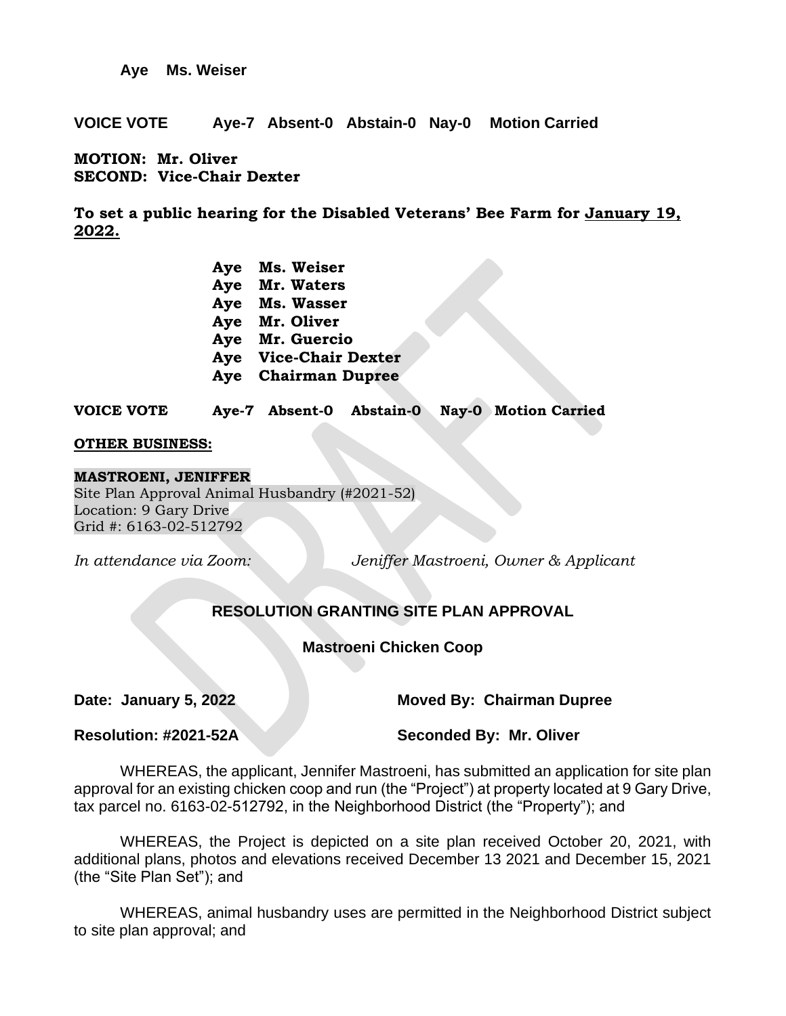**Aye Ms. Weiser**

**VOICE VOTE Aye-7 Absent-0 Abstain-0 Nay-0 Motion Carried**

**MOTION: Mr. Oliver SECOND: Vice-Chair Dexter**

**To set a public hearing for the Disabled Veterans' Bee Farm for January 19, 2022.**

| Aye | Ms. Weiser               |
|-----|--------------------------|
| Aye | Mr. Waters               |
| Aye | Ms. Wasser               |
| Aye | Mr. Oliver               |
| Aye | Mr. Guercio              |
| Aye | <b>Vice-Chair Dexter</b> |
| Aye | <b>Chairman Dupree</b>   |

**VOICE VOTE Aye-7 Absent-0 Abstain-0 Nay-0 Motion Carried**

### **OTHER BUSINESS:**

#### **MASTROENI, JENIFFER**

Site Plan Approval Animal Husbandry (#2021-52) Location: 9 Gary Drive Grid #: 6163-02-512792

*In attendance via Zoom: Jeniffer Mastroeni, Owner & Applicant*

# **RESOLUTION GRANTING SITE PLAN APPROVAL**

## **Mastroeni Chicken Coop**

**Date: January 5, 2022 Moved By: Chairman Dupree**

**Resolution: #2021-52A Seconded By: Mr. Oliver**

WHEREAS, the applicant, Jennifer Mastroeni, has submitted an application for site plan approval for an existing chicken coop and run (the "Project") at property located at 9 Gary Drive, tax parcel no. 6163-02-512792, in the Neighborhood District (the "Property"); and

WHEREAS, the Project is depicted on a site plan received October 20, 2021, with additional plans, photos and elevations received December 13 2021 and December 15, 2021 (the "Site Plan Set"); and

WHEREAS, animal husbandry uses are permitted in the Neighborhood District subject to site plan approval; and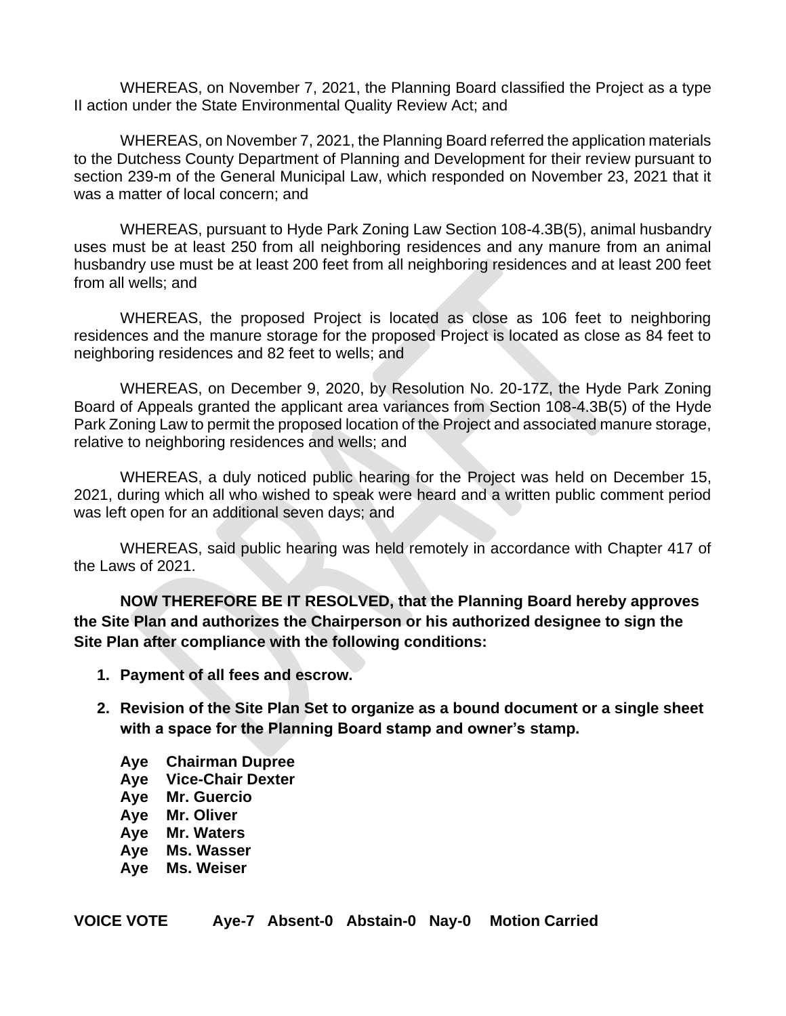WHEREAS, on November 7, 2021, the Planning Board classified the Project as a type II action under the State Environmental Quality Review Act; and

WHEREAS, on November 7, 2021, the Planning Board referred the application materials to the Dutchess County Department of Planning and Development for their review pursuant to section 239-m of the General Municipal Law, which responded on November 23, 2021 that it was a matter of local concern; and

WHEREAS, pursuant to Hyde Park Zoning Law Section 108-4.3B(5), animal husbandry uses must be at least 250 from all neighboring residences and any manure from an animal husbandry use must be at least 200 feet from all neighboring residences and at least 200 feet from all wells; and

WHEREAS, the proposed Project is located as close as 106 feet to neighboring residences and the manure storage for the proposed Project is located as close as 84 feet to neighboring residences and 82 feet to wells; and

WHEREAS, on December 9, 2020, by Resolution No. 20-17Z, the Hyde Park Zoning Board of Appeals granted the applicant area variances from Section 108-4.3B(5) of the Hyde Park Zoning Law to permit the proposed location of the Project and associated manure storage, relative to neighboring residences and wells; and

WHEREAS, a duly noticed public hearing for the Project was held on December 15, 2021, during which all who wished to speak were heard and a written public comment period was left open for an additional seven days; and

WHEREAS, said public hearing was held remotely in accordance with Chapter 417 of the Laws of 2021.

**NOW THEREFORE BE IT RESOLVED, that the Planning Board hereby approves the Site Plan and authorizes the Chairperson or his authorized designee to sign the Site Plan after compliance with the following conditions:**

- **1. Payment of all fees and escrow.**
- **2. Revision of the Site Plan Set to organize as a bound document or a single sheet with a space for the Planning Board stamp and owner's stamp.** 
	- **Aye Chairman Dupree**
	- **Aye Vice-Chair Dexter**
	- **Aye Mr. Guercio**
	- **Aye Mr. Oliver**
	- **Aye Mr. Waters**
	- **Aye Ms. Wasser**
	- **Aye Ms. Weiser**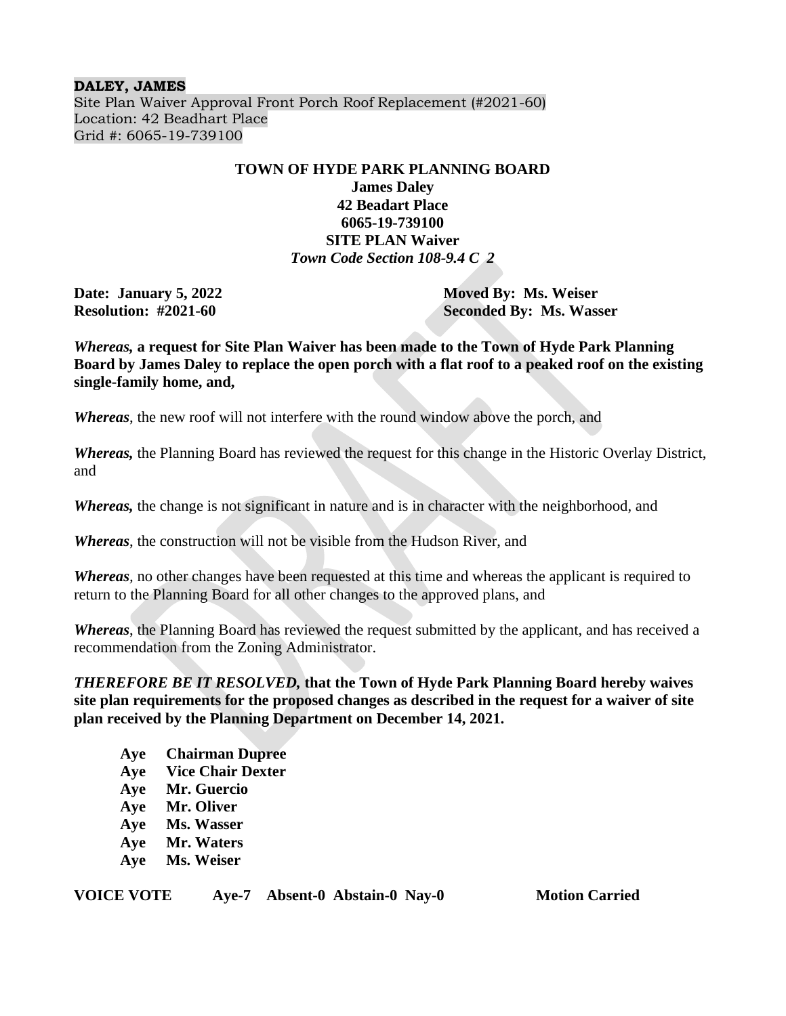#### **DALEY, JAMES**

Site Plan Waiver Approval Front Porch Roof Replacement (#2021-60) Location: 42 Beadhart Place Grid #: 6065-19-739100

## **TOWN OF HYDE PARK PLANNING BOARD**

## **James Daley 42 Beadart Place 6065-19-739100 SITE PLAN Waiver**  *Town Code Section 108-9.4 C 2*

**Date: January 5, 2022 Moved By: Ms. Weiser Resolution: #2021-60 Seconded By: Ms. Wasser**

*Whereas,* **a request for Site Plan Waiver has been made to the Town of Hyde Park Planning Board by James Daley to replace the open porch with a flat roof to a peaked roof on the existing single-family home, and,** 

*Whereas*, the new roof will not interfere with the round window above the porch, and

*Whereas,* the Planning Board has reviewed the request for this change in the Historic Overlay District, and

*Whereas,* the change is not significant in nature and is in character with the neighborhood, and

*Whereas*, the construction will not be visible from the Hudson River, and

*Whereas,* no other changes have been requested at this time and whereas the applicant is required to return to the Planning Board for all other changes to the approved plans, and

*Whereas*, the Planning Board has reviewed the request submitted by the applicant, and has received a recommendation from the Zoning Administrator.

*THEREFORE BE IT RESOLVED,* **that the Town of Hyde Park Planning Board hereby waives site plan requirements for the proposed changes as described in the request for a waiver of site plan received by the Planning Department on December 14, 2021.**

**Aye Chairman Dupree Aye Vice Chair Dexter Aye Mr. Guercio Aye Mr. Oliver Aye Ms. Wasser Aye Mr. Waters Aye Ms. Weiser**

**VOICE VOTE Aye-7 Absent-0 Abstain-0 Nay-0 Motion Carried**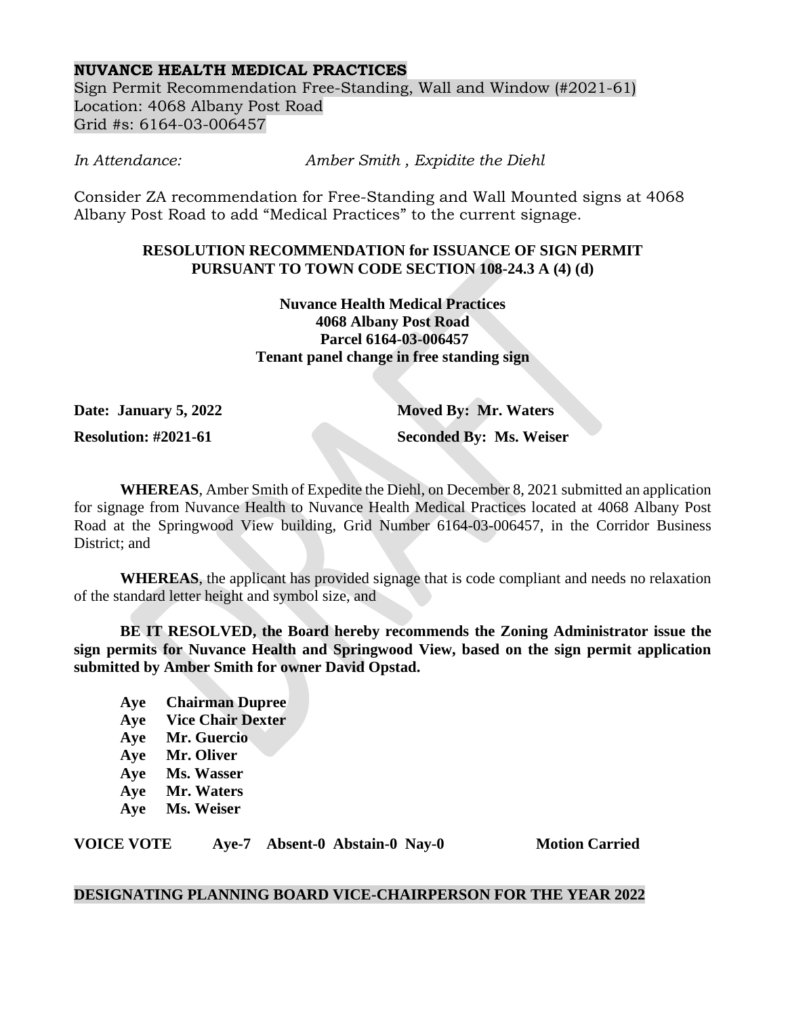## **NUVANCE HEALTH MEDICAL PRACTICES**

Sign Permit Recommendation Free-Standing, Wall and Window (#2021-61) Location: 4068 Albany Post Road Grid #s: 6164-03-006457

*In Attendance: Amber Smith , Expidite the Diehl*

Consider ZA recommendation for Free-Standing and Wall Mounted signs at 4068 Albany Post Road to add "Medical Practices" to the current signage.

## **RESOLUTION RECOMMENDATION for ISSUANCE OF SIGN PERMIT PURSUANT TO TOWN CODE SECTION 108-24.3 A (4) (d)**

**Nuvance Health Medical Practices 4068 Albany Post Road Parcel 6164-03-006457 Tenant panel change in free standing sign**

**Date: January 5, 2022 Moved By: Mr. Waters**

**Resolution: #2021-61 Seconded By: Ms. Weiser**

**WHEREAS**, Amber Smith of Expedite the Diehl, on December 8, 2021 submitted an application for signage from Nuvance Health to Nuvance Health Medical Practices located at 4068 Albany Post Road at the Springwood View building, Grid Number 6164-03-006457, in the Corridor Business District; and

**WHEREAS**, the applicant has provided signage that is code compliant and needs no relaxation of the standard letter height and symbol size, and

**BE IT RESOLVED, the Board hereby recommends the Zoning Administrator issue the sign permits for Nuvance Health and Springwood View, based on the sign permit application submitted by Amber Smith for owner David Opstad.**

- **Aye Chairman Dupree**
- **Aye Vice Chair Dexter**
- **Aye Mr. Guercio**
- **Aye Mr. Oliver**
- **Aye Ms. Wasser**
- **Aye Mr. Waters**
- **Aye Ms. Weiser**

**VOICE VOTE Aye-7 Absent-0 Abstain-0 Nay-0 Motion Carried**

# **DESIGNATING PLANNING BOARD VICE-CHAIRPERSON FOR THE YEAR 2022**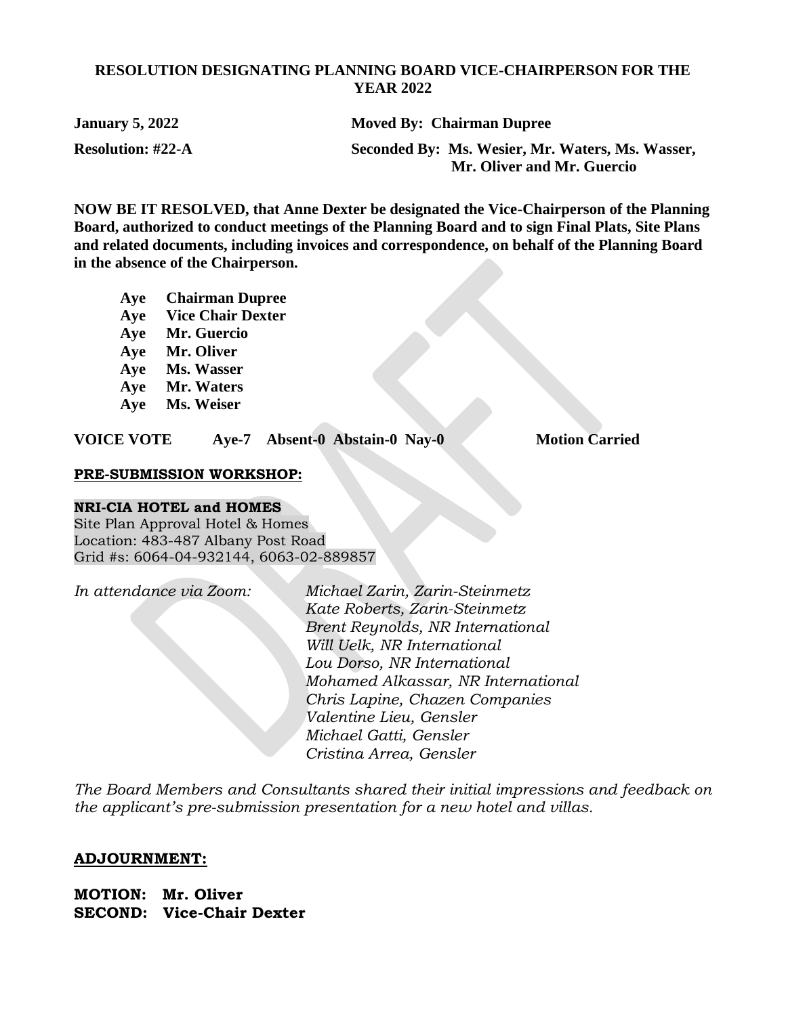## **RESOLUTION DESIGNATING PLANNING BOARD VICE-CHAIRPERSON FOR THE YEAR 2022**

| <b>January 5, 2022</b>   | <b>Moved By: Chairman Dupree</b>                 |
|--------------------------|--------------------------------------------------|
| <b>Resolution: #22-A</b> | Seconded By: Ms. Wesier, Mr. Waters, Ms. Wasser, |
|                          | Mr. Oliver and Mr. Guercio                       |

**NOW BE IT RESOLVED, that Anne Dexter be designated the Vice-Chairperson of the Planning Board, authorized to conduct meetings of the Planning Board and to sign Final Plats, Site Plans and related documents, including invoices and correspondence, on behalf of the Planning Board in the absence of the Chairperson.**

- **Aye Chairman Dupree**
- **Aye Vice Chair Dexter**
- **Aye Mr. Guercio**
- **Aye Mr. Oliver**
- **Aye Ms. Wasser**
- **Aye Mr. Waters**
- **Aye Ms. Weiser**

**VOICE VOTE Aye-7 Absent-0 Abstain-0 Nay-0 Motion Carried**

### **PRE-SUBMISSION WORKSHOP:**

#### **NRI-CIA HOTEL and HOMES**

Site Plan Approval Hotel & Homes Location: 483-487 Albany Post Road Grid #s: 6064-04-932144, 6063-02-889857

*In attendance via Zoom: Michael Zarin, Zarin-Steinmetz Kate Roberts, Zarin-Steinmetz Brent Reynolds, NR International Will Uelk, NR International Lou Dorso, NR International Mohamed Alkassar, NR International Chris Lapine, Chazen Companies Valentine Lieu, Gensler Michael Gatti, Gensler Cristina Arrea, Gensler*

*The Board Members and Consultants shared their initial impressions and feedback on the applicant's pre-submission presentation for a new hotel and villas.*

## **ADJOURNMENT:**

**MOTION: Mr. Oliver SECOND: Vice-Chair Dexter**